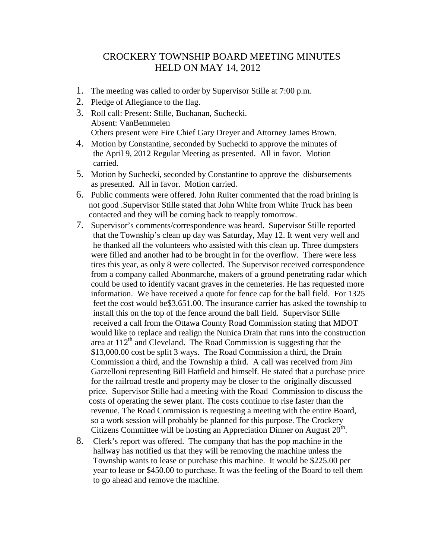## CROCKERY TOWNSHIP BOARD MEETING MINUTES HELD ON MAY 14, 2012

- 1. The meeting was called to order by Supervisor Stille at 7:00 p.m.
- 2. Pledge of Allegiance to the flag.
- 3. Roll call: Present: Stille, Buchanan, Suchecki. Absent: VanBemmelen Others present were Fire Chief Gary Dreyer and Attorney James Brown.
- 4. Motion by Constantine, seconded by Suchecki to approve the minutes of the April 9, 2012 Regular Meeting as presented. All in favor. Motion carried.
- 5. Motion by Suchecki, seconded by Constantine to approve the disbursements as presented. All in favor. Motion carried.
- 6. Public comments were offered. John Ruiter commented that the road brining is not good .Supervisor Stille stated that John White from White Truck has been contacted and they will be coming back to reapply tomorrow.
- 7. Supervisor's comments/correspondence was heard. Supervisor Stille reported that the Township's clean up day was Saturday, May 12. It went very well and he thanked all the volunteers who assisted with this clean up. Three dumpsters were filled and another had to be brought in for the overflow. There were less tires this year, as only 8 were collected. The Supervisor received correspondence from a company called Abonmarche, makers of a ground penetrating radar which could be used to identify vacant graves in the cemeteries. He has requested more information. We have received a quote for fence cap for the ball field. For 1325 feet the cost would be\$3,651.00. The insurance carrier has asked the township to install this on the top of the fence around the ball field. Supervisor Stille received a call from the Ottawa County Road Commission stating that MDOT would like to replace and realign the Nunica Drain that runs into the construction area at  $112<sup>th</sup>$  and Cleveland. The Road Commission is suggesting that the \$13,000.00 cost be split 3 ways. The Road Commission a third, the Drain Commission a third, and the Township a third. A call was received from Jim Garzelloni representing Bill Hatfield and himself. He stated that a purchase price for the railroad trestle and property may be closer to the originally discussed price. Supervisor Stille had a meeting with the Road Commission to discuss the costs of operating the sewer plant. The costs continue to rise faster than the revenue. The Road Commission is requesting a meeting with the entire Board, so a work session will probably be planned for this purpose. The Crockery Citizens Committee will be hosting an Appreciation Dinner on August  $20<sup>th</sup>$ .
- 8. Clerk's report was offered. The company that has the pop machine in the hallway has notified us that they will be removing the machine unless the Township wants to lease or purchase this machine. It would be \$225.00 per year to lease or \$450.00 to purchase. It was the feeling of the Board to tell them to go ahead and remove the machine.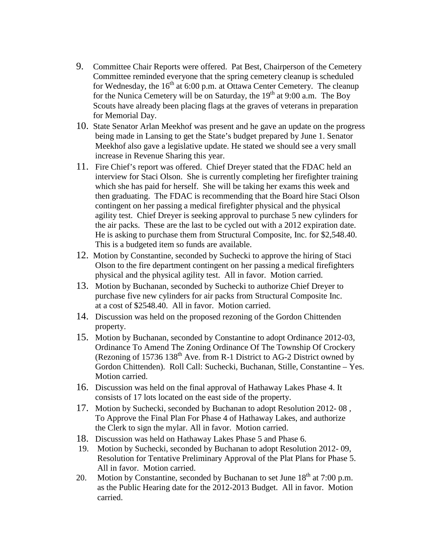- 9. Committee Chair Reports were offered. Pat Best, Chairperson of the Cemetery Committee reminded everyone that the spring cemetery cleanup is scheduled for Wednesday, the  $16<sup>th</sup>$  at 6:00 p.m. at Ottawa Center Cemetery. The cleanup for the Nunica Cemetery will be on Saturday, the 19<sup>th</sup> at 9:00 a.m. The Boy Scouts have already been placing flags at the graves of veterans in preparation for Memorial Day.
- 10. State Senator Arlan Meekhof was present and he gave an update on the progress being made in Lansing to get the State's budget prepared by June 1. Senator Meekhof also gave a legislative update. He stated we should see a very small increase in Revenue Sharing this year.
- 11. Fire Chief's report was offered. Chief Dreyer stated that the FDAC held an interview for Staci Olson. She is currently completing her firefighter training which she has paid for herself. She will be taking her exams this week and then graduating. The FDAC is recommending that the Board hire Staci Olson contingent on her passing a medical firefighter physical and the physical agility test. Chief Dreyer is seeking approval to purchase 5 new cylinders for the air packs. These are the last to be cycled out with a 2012 expiration date. He is asking to purchase them from Structural Composite, Inc. for \$2,548.40. This is a budgeted item so funds are available.
- 12. Motion by Constantine, seconded by Suchecki to approve the hiring of Staci Olson to the fire department contingent on her passing a medical firefighters physical and the physical agility test. All in favor. Motion carried.
- 13. Motion by Buchanan, seconded by Suchecki to authorize Chief Dreyer to purchase five new cylinders for air packs from Structural Composite Inc. at a cost of \$2548.40. All in favor. Motion carried.
- 14. Discussion was held on the proposed rezoning of the Gordon Chittenden property.
- 15. Motion by Buchanan, seconded by Constantine to adopt Ordinance 2012-03, Ordinance To Amend The Zoning Ordinance Of The Township Of Crockery (Rezoning of  $15736 138^{\text{th}}$  Ave. from R-1 District to AG-2 District owned by Gordon Chittenden). Roll Call: Suchecki, Buchanan, Stille, Constantine – Yes. Motion carried.
- 16. Discussion was held on the final approval of Hathaway Lakes Phase 4. It consists of 17 lots located on the east side of the property.
- 17. Motion by Suchecki, seconded by Buchanan to adopt Resolution 2012- 08 , To Approve the Final Plan For Phase 4 of Hathaway Lakes, and authorize the Clerk to sign the mylar. All in favor. Motion carried.
- 18. Discussion was held on Hathaway Lakes Phase 5 and Phase 6.
- 19. Motion by Suchecki, seconded by Buchanan to adopt Resolution 2012- 09, Resolution for Tentative Preliminary Approval of the Plat Plans for Phase 5. All in favor. Motion carried.
- 20. Motion by Constantine, seconded by Buchanan to set June  $18<sup>th</sup>$  at 7:00 p.m. as the Public Hearing date for the 2012-2013 Budget. All in favor. Motion carried.